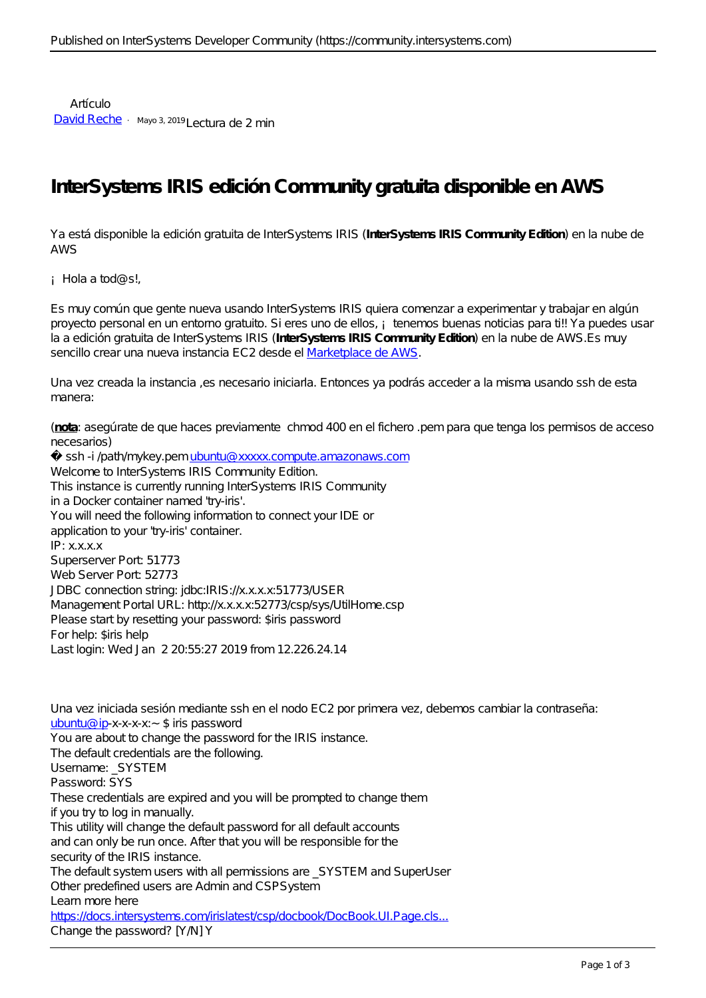Artículo [David Reche](https://es.community.intersystems.com/user/david-reche) · Mayo 3, 2019 Lectura de 2 min

## **InterSystems IRIS edición Community gratuita disponible en AWS**

Ya está disponible la edición gratuita de InterSystems IRIS (**InterSystems IRIS Community Edition**) en la nube de AWS

¡Hola a tod@s!,

Es muy común que gente nueva usando InterSystems IRIS quiera comenzar a experimentar y trabajar en algún proyecto personal en un entorno gratuito. Si eres uno de ellos, i tenemos buenas noticias para ti!! Ya puedes usar la a edición gratuita de InterSystems IRIS (**InterSystems IRIS Community Edition**) en la nube de AWS.Es muy sencillo crear una nueva instancia EC2 desde el [Marketplace de AWS.](https://aws.amazon.com/marketplace/search/results?x=0&y=0&searchTerms=intersystems)

Una vez creada la instancia ,es necesario iniciarla. Entonces ya podrás acceder a la misma usando ssh de esta manera:

(**nota**: asegúrate de que haces previamente chmod 400 en el fichero .pem para que tenga los permisos de acceso necesarios)

ssh-i /path/mykey.pem [ubuntu@xxxxx.compute.amazonaws.com](mailto:ubuntu@xxxxx.compute.amazonaws.com) Welcome to InterSystems IRIS Community Edition. This instance is currently running InterSystems IRIS Community in a Docker container named 'try-iris'. You will need the following information to connect your IDE or application to your 'try-iris' container. IP: x.x.x.x Superserver Port: 51773 Web Server Port: 52773 JDBC connection string: jdbc:IRIS://x.x.x.x:51773/USER Management Portal URL: http://x.x.x.x:52773/csp/sys/UtilHome.csp Please start by resetting your password: \$iris password For help: \$iris help Last login: Wed Jan 2 20:55:27 2019 from 12.226.24.14

Una vez iniciada sesión mediante ssh en el nodo EC2 por primera vez, debemos cambiar la contraseña: [ubuntu@ip](mailto:ubuntu@ip)-x-x-x-x:~\$ iris password You are about to change the password for the IRIS instance. The default credentials are the following. Username: \_SYSTEM Password: SYS These credentials are expired and you will be prompted to change them if you try to log in manually. This utility will change the default password for all default accounts and can only be run once. After that you will be responsible for the security of the IRIS instance. The default system users with all permissions are \_SYSTEM and SuperUser Other predefined users are Admin and CSPSystem Learn more here [https://docs.intersystems.com/irislatest/csp/docbook/DocBook.UI.Page.cls...](https://docs.intersystems.com/irislatest/csp/docbook/DocBook.UI.Page.cls?KEY=GCAS_users#GCAS_users_predefined) Change the password? [Y M] Y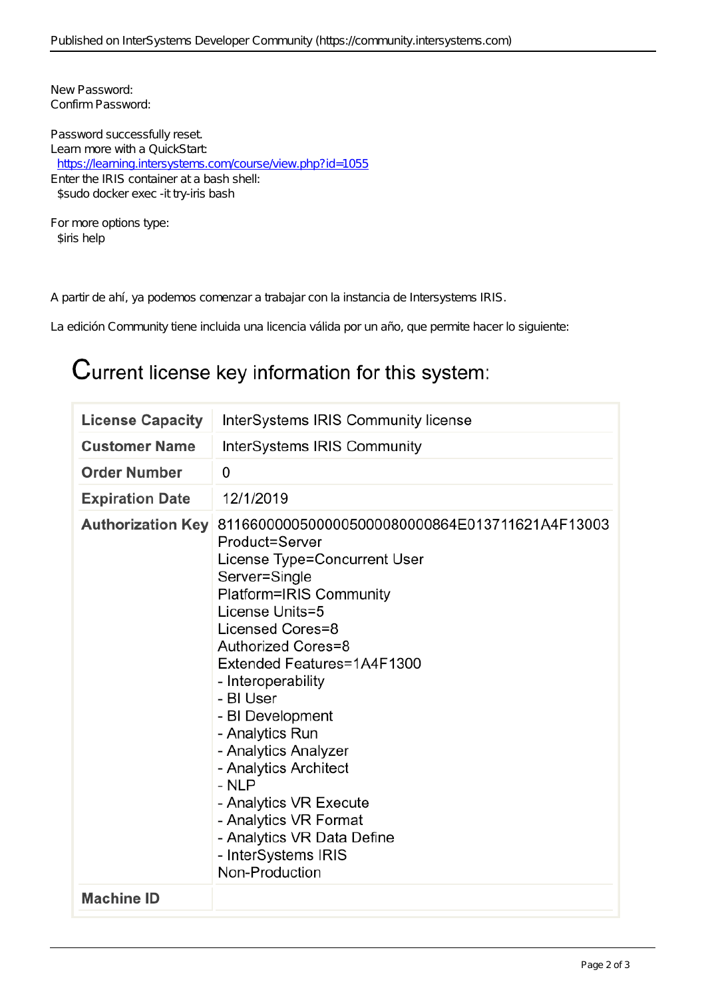New Password: Confirm Password: Password successfully reset. Learn more with a QuickStart: <https://learning.intersystems.com/course/view.php?id=1055> Enter the IRIS container at a bash shell: \$sudo docker exec -it try-iris bash For more options type:

\$iris help

A partir de ahí, ya podemos comenzar a trabajar con la instancia de Intersystems IRIS.

La edición Community tiene incluida una licencia válida por un año, que permite hacer lo siguiente:

## Current license key information for this system:

| <b>License Capacity</b>  | InterSystems IRIS Community license                                                                                                                                                                                                                                                                                                                                                                                                                                                                    |
|--------------------------|--------------------------------------------------------------------------------------------------------------------------------------------------------------------------------------------------------------------------------------------------------------------------------------------------------------------------------------------------------------------------------------------------------------------------------------------------------------------------------------------------------|
| <b>Customer Name</b>     | InterSystems IRIS Community                                                                                                                                                                                                                                                                                                                                                                                                                                                                            |
| <b>Order Number</b>      | 0                                                                                                                                                                                                                                                                                                                                                                                                                                                                                                      |
| <b>Expiration Date</b>   | 12/1/2019                                                                                                                                                                                                                                                                                                                                                                                                                                                                                              |
| <b>Authorization Key</b> | 81166000005000005000080000864E013711621A4F13003<br>Product=Server<br>License Type=Concurrent User<br>Server=Single<br>Platform=IRIS Community<br>License Units=5<br>Licensed Cores=8<br>Authorized Cores=8<br>Extended Features=1A4F1300<br>- Interoperability<br>- BI User<br>- BI Development<br>- Analytics Run<br>- Analytics Analyzer<br>- Analytics Architect<br>- NLP<br>- Analytics VR Execute<br>- Analytics VR Format<br>- Analytics VR Data Define<br>- InterSystems IRIS<br>Non-Production |
| <b>Machine ID</b>        |                                                                                                                                                                                                                                                                                                                                                                                                                                                                                                        |